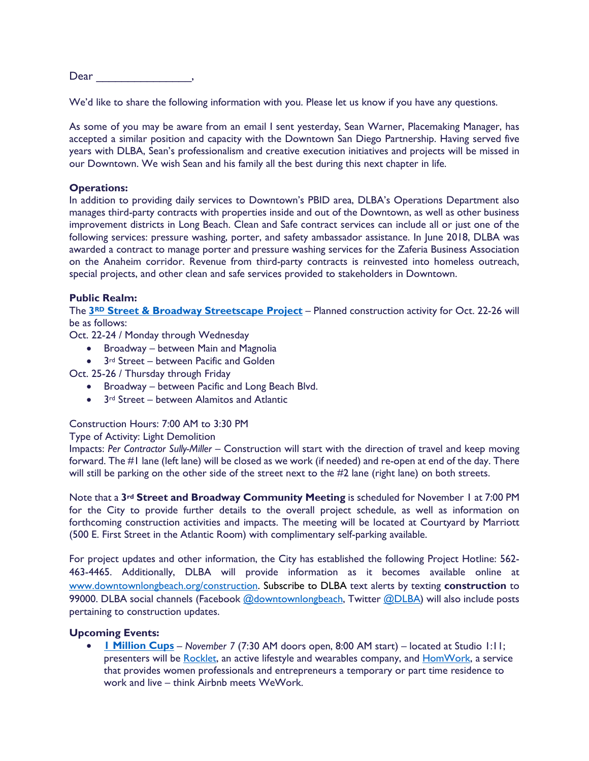Dear  $\Box$ 

We'd like to share the following information with you. Please let us know if you have any questions.

As some of you may be aware from an email I sent yesterday, Sean Warner, Placemaking Manager, has accepted a similar position and capacity with the Downtown San Diego Partnership. Having served five years with DLBA, Sean's professionalism and creative execution initiatives and projects will be missed in our Downtown. We wish Sean and his family all the best during this next chapter in life.

#### **Operations:**

In addition to providing daily services to Downtown's PBID area, DLBA's Operations Department also manages third-party contracts with properties inside and out of the Downtown, as well as other business improvement districts in Long Beach. Clean and Safe contract services can include all or just one of the following services: pressure washing, porter, and safety ambassador assistance. In June 2018, DLBA was awarded a contract to manage porter and pressure washing services for the Zaferia Business Association on the Anaheim corridor. Revenue from third-party contracts is reinvested into homeless outreach, special projects, and other clean and safe services provided to stakeholders in Downtown.

#### **Public Realm:**

The **3RD [Street & Broadway Streetscape Project](https://downtownlongbeach.org/construction/)** – Planned construction activity for Oct. 22-26 will be as follows:

Oct. 22-24 / Monday through Wednesday

- Broadway between Main and Magnolia
- 3<sup>rd</sup> Street between Pacific and Golden

Oct. 25-26 / Thursday through Friday

- Broadway between Pacific and Long Beach Blvd.
- 3rd Street between Alamitos and Atlantic

## Construction Hours: 7:00 AM to 3:30 PM

## Type of Activity: Light Demolition

Impacts: *Per Contractor Sully-Miller –* Construction will start with the direction of travel and keep moving forward. The #1 lane (left lane) will be closed as we work (if needed) and re-open at end of the day. There will still be parking on the other side of the street next to the #2 lane (right lane) on both streets.

Note that a **3rd Street and Broadway Community Meeting** is scheduled for November 1 at 7:00 PM for the City to provide further details to the overall project schedule, as well as information on forthcoming construction activities and impacts. The meeting will be located at Courtyard by Marriott (500 E. First Street in the Atlantic Room) with complimentary self-parking available.

For project updates and other information, the City has established the following Project Hotline: 562- 463-4465. Additionally, DLBA will provide information as it becomes available online at [www.downtownlongbeach.org/construction.](http://www.downtownlongbeach.org/construction) Subscribe to DLBA text alerts by texting **construction** to 99000. DLBA social channels (Facebook [@downtownlongbeach,](https://www.facebook.com/downtownlongbeach/) Twitter [@DLBA\)](https://twitter.com/DLBA) will also include posts pertaining to construction updates.

#### **Upcoming Events:**

• **[1 Million Cups](https://www.1millioncups.com/longbeach)** – *November 7* (7:30 AM doors open, 8:00 AM start) – located at Studio 1:11; presenters will be [Rocklet,](https://www.1millioncups.com/longbeach/presentations/rocklet-22721) an active lifestyle and wearables company, and [HomWork,](https://www.homwork.com/) a service that provides women professionals and entrepreneurs a temporary or part time residence to work and live – think Airbnb meets WeWork.